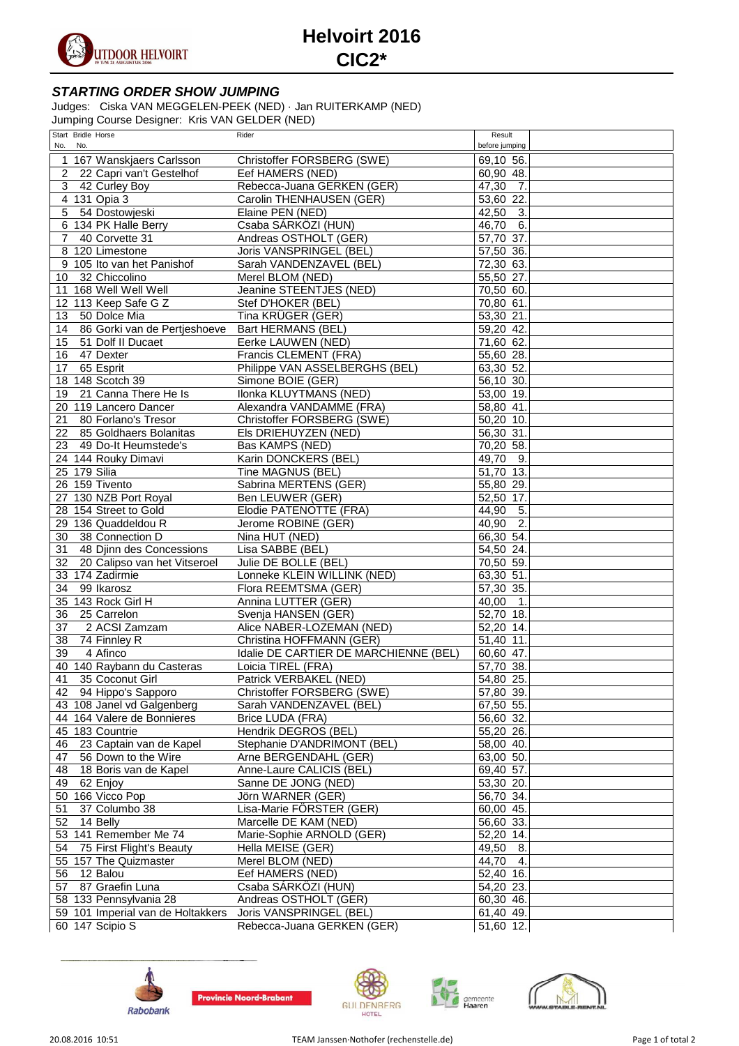

## **Helvoirt 2016 CIC2\***

## **STARTING ORDER SHOW JUMPING**

Judges: Ciska VAN MEGGELEN-PEEK (NED) · Jan RUITERKAMP (NED) Jumping Course Designer: Kris VAN GELDER (NED)

|                | Start Bridle Horse                | Rider                                 | Result                               |
|----------------|-----------------------------------|---------------------------------------|--------------------------------------|
|                | No. No.                           |                                       | before jumping                       |
|                | 167 Wanskjaers Carlsson           | Christoffer FORSBERG (SWE)            | 69,10 56.                            |
| 2              | 22 Capri van't Gestelhof          | Eef HAMERS (NED)                      | 60,90 48.                            |
| 3              | 42 Curley Boy                     | Rebecca-Juana GERKEN (GER)            | 47,30<br>7.                          |
|                | 4 131 Opia 3                      | Carolin THENHAUSEN (GER)              | 53,60 22.                            |
| $\overline{5}$ | 54 Dostowjeski                    | Elaine PEN (NED)                      | 42,50<br>3.                          |
|                | 6 134 PK Halle Berry              | Csaba SÁRKÖZI (HUN)                   | 6.<br>46,70                          |
| $\overline{7}$ | 40 Corvette 31                    | Andreas OSTHOLT (GER)                 | 57,70 37.                            |
|                | 8 120 Limestone                   | Joris VANSPRINGEL (BEL)               | 57,50 36.                            |
|                | 9 105 Ito van het Panishof        | Sarah VANDENZAVEL (BEL)               | 72,30 63.                            |
| 10             | 32 Chiccolino                     | Merel BLOM (NED)                      | 55,50 27.                            |
|                | 11 168 Well Well Well             | Jeanine STEENTJES (NED)               | 70,50 60.                            |
|                | 12 113 Keep Safe G Z              | Stef D'HOKER (BEL)                    | 70,80 61.                            |
|                |                                   |                                       |                                      |
| 13             | 50 Dolce Mia                      | Tina KRÜGER (GER)                     | 53,30 21.                            |
| 14             | 86 Gorki van de Pertjeshoeve      | Bart HERMANS (BEL)                    | 59,20 42.                            |
| 15             | 51 Dolf II Ducaet                 | Eerke LAUWEN (NED)                    | 71,60 62.                            |
| 16             | 47 Dexter                         | Francis CLEMENT (FRA)                 | 55,60 28.                            |
| 17             | 65 Esprit                         | Philippe VAN ASSELBERGHS (BEL)        | 63,30 52                             |
|                | 18 148 Scotch 39                  | Simone BOIE (GER)                     | 56,10 30.                            |
| 19             | 21 Canna There He Is              | Ilonka KLUYTMANS (NED)                | 53,00 19.                            |
|                | 20 119 Lancero Dancer             | Alexandra VANDAMME (FRA)              | 58,80 41.                            |
| 21             | 80 Forlano's Tresor               | Christoffer FORSBERG (SWE)            | 50,20 10.                            |
| 22             | 85 Goldhaers Bolanitas            | Els DRIEHUYZEN (NED)                  | 56,30 31.                            |
| 23             | 49 Do-It Heumstede's              | <b>Bas KAMPS (NED)</b>                | 70,20 58.                            |
|                | 24 144 Rouky Dimavi               | Karin DONCKERS (BEL)                  | 49,70<br>9.                          |
|                | 25 179 Silia                      | Tine MAGNUS (BEL)                     | 51,70 13.                            |
|                | 26 159 Tivento                    | Sabrina MERTENS (GER)                 | 55,80 29.                            |
| 27             | 130 NZB Port Royal                | Ben LEUWER (GER)                      | 52,50 17.                            |
|                | 28 154 Street to Gold             | Elodie PATENOTTE (FRA)                | 44,90<br>5.                          |
|                | 29 136 Quaddeldou R               | Jerome ROBINE (GER)                   | $\overline{2}$ .<br>40,90            |
|                |                                   |                                       |                                      |
| 30             | 38 Connection D                   | Nina HUT (NED)                        | 66,30 54.                            |
| 31             | 48 Djinn des Concessions          | Lisa SABBE (BEL)                      | 54,50 24.                            |
| 32             | 20 Calipso van het Vitseroel      | Julie DE BOLLE (BEL)                  | 70,50 59.                            |
|                | 33 174 Zadirmie                   | Lonneke KLEIN WILLINK (NED)           | 63,30 51.                            |
| 34             | 99 Ikarosz                        | Flora REEMTSMA (GER)                  | 57,30 35.                            |
|                | 35 143 Rock Girl H                | Annina LUTTER (GER)                   | 40,00<br>$\overline{\phantom{a}}$ 1. |
| 36             | 25 Carrelon                       | Svenja HANSEN (GER)                   | 52,70 18.                            |
| 37             | 2 ACSI Zamzam                     | Alice NABER-LOZEMAN (NED)             | 52,20 14.                            |
| 38             | 74 Finnley R                      | Christina HOFFMANN (GER)              | 51,40 11.                            |
| 39             | 4 Afinco                          | Idalie DE CARTIER DE MARCHIENNE (BEL) | 60,60 47.                            |
|                | 40 140 Raybann du Casteras        | Loicia TIREL (FRA)                    | 57,70 38.                            |
| 41             | 35 Coconut Girl                   | Patrick VERBAKEL (NED)                | 54,80 25.                            |
|                | 42 94 Hippo's Sapporo             | Christoffer FORSBERG (SWE)            | 57,80 39.                            |
|                | 43 108 Janel vd Galgenberg        | Sarah VANDENZAVEL (BEL)               | 67,50 55.                            |
|                | 44 164 Valere de Bonnieres        | Brice LUDA (FRA)                      | 56,60 32.                            |
|                | 45 183 Countrie                   | Hendrik DEGROS (BEL)                  | 55,20 26.                            |
| 46             | 23 Captain van de Kapel           | Stephanie D'ANDRIMONT (BEL)           | 58,00 40.                            |
| 47             | 56 Down to the Wire               | Arne BERGENDAHL (GER)                 | 63,00 50.                            |
| 48             | 18 Boris van de Kapel             | Anne-Laure CALICIS (BEL)              | 69,40 57.                            |
| 49             | 62 Enjoy                          | Sanne DE JONG (NED)                   | 53,30 20.                            |
|                | 50 166 Vicco Pop                  | Jörn WARNER (GER)                     | 56,70 34.                            |
|                | 37 Columbo 38                     |                                       | 60,00 45.                            |
| 51             |                                   | Lisa-Marie FÖRSTER (GER)              |                                      |
| 52             | 14 Belly                          | Marcelle DE KAM (NED)                 | 56,60 33.                            |
|                | 53 141 Remember Me 74             | Marie-Sophie ARNOLD (GER)             | 52,20 14.                            |
| 54             | 75 First Flight's Beauty          | Hella MEISE (GER)                     | 49,50<br>8.                          |
|                | 55 157 The Quizmaster             | Merel BLOM (NED)                      | 44,70<br>4.                          |
| 56             | 12 Balou                          | Eef HAMERS (NED)                      | 52,40 16.                            |
| 57             | 87 Graefin Luna                   | Csaba SÁRKÖZI (HUN)                   | 54,20 23.                            |
|                | 58 133 Pennsylvania 28            | Andreas OSTHOLT (GER)                 | 60,30 46.                            |
|                | 59 101 Imperial van de Holtakkers | Joris VANSPRINGEL (BEL)               | 61,40 49.                            |
|                | 60 147 Scipio S                   | Rebecca-Juana GERKEN (GER)            | 51,60 12.                            |